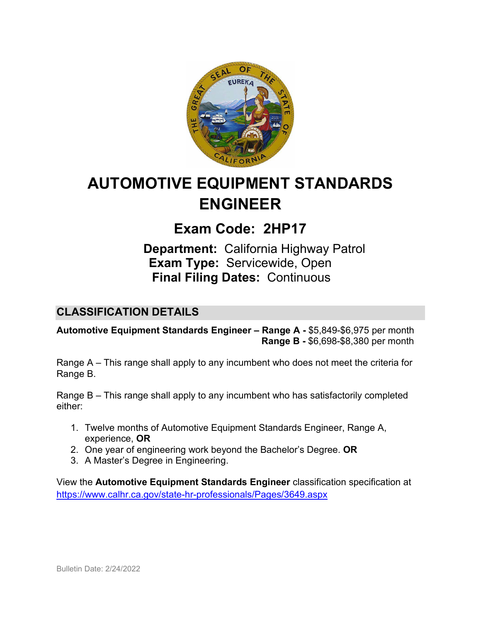

# **AUTOMOTIVE EQUIPMENT STANDARDS ENGINEER**

# **Exam Code: 2HP17**

**Department:** California Highway Patrol **Exam Type:** Servicewide, Open **Final Filing Dates:** Continuous

### **CLASSIFICATION DETAILS**

**Automotive Equipment Standards Engineer – Range A -** \$5,849-\$6,975 per month **Range B -** \$6,698-\$8,380 per month

Range A – This range shall apply to any incumbent who does not meet the criteria for Range B.

Range B – This range shall apply to any incumbent who has satisfactorily completed either:

- 1. Twelve months of Automotive Equipment Standards Engineer, Range A, experience, **OR**
- 2. One year of engineering work beyond the Bachelor's Degree. **OR**
- 3. A Master's Degree in Engineering.

View the **Automotive Equipment Standards Engineer** classification specification at <https://www.calhr.ca.gov/state-hr-professionals/Pages/3649.aspx>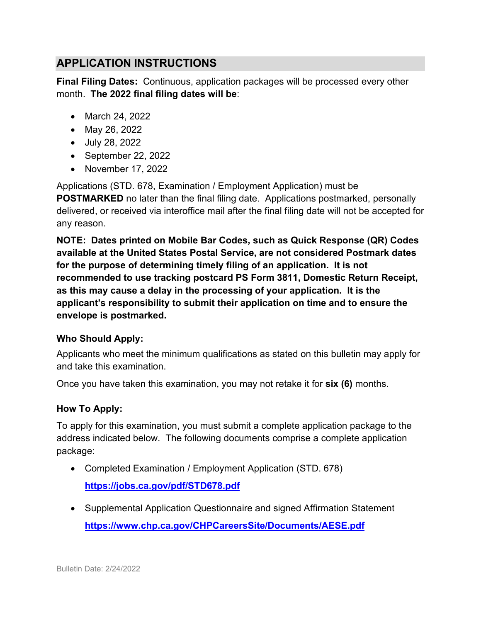# **APPLICATION INSTRUCTIONS**

**Final Filing Dates:** Continuous, application packages will be processed every other month. **The 2022 final filing dates will be**:

- March 24, 2022
- May 26, 2022
- July 28, 2022
- September 22, 2022
- November 17, 2022

Applications (STD. 678, Examination / Employment Application) must be **POSTMARKED** no later than the final filing date. Applications postmarked, personally delivered, or received via interoffice mail after the final filing date will not be accepted for any reason.

**NOTE: Dates printed on Mobile Bar Codes, such as Quick Response (QR) Codes available at the United States Postal Service, are not considered Postmark dates for the purpose of determining timely filing of an application. It is not recommended to use tracking postcard PS Form 3811, Domestic Return Receipt, as this may cause a delay in the processing of your application. It is the applicant's responsibility to submit their application on time and to ensure the envelope is postmarked.**

#### **Who Should Apply:**

Applicants who meet the minimum qualifications as stated on this bulletin may apply for and take this examination.

Once you have taken this examination, you may not retake it for **six (6)** months.

#### **How To Apply:**

To apply for this examination, you must submit a complete application package to the address indicated below. The following documents comprise a complete application package:

- Completed Examination / Employment Application (STD. 678) **<https://jobs.ca.gov/pdf/STD678.pdf>**
- Supplemental Application Questionnaire and signed Affirmation Statement **<https://www.chp.ca.gov/CHPCareersSite/Documents/AESE.pdf>**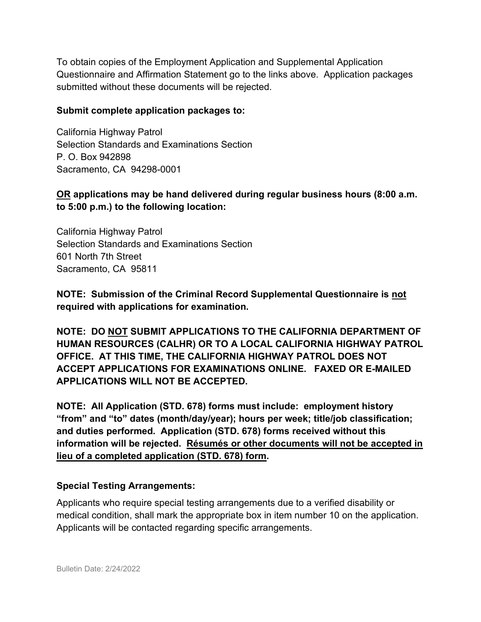To obtain copies of the Employment Application and Supplemental Application Questionnaire and Affirmation Statement go to the links above. Application packages submitted without these documents will be rejected.

#### **Submit complete application packages to:**

California Highway Patrol Selection Standards and Examinations Section P. O. Box 942898 Sacramento, CA 94298-0001

#### **OR applications may be hand delivered during regular business hours (8:00 a.m. to 5:00 p.m.) to the following location:**

California Highway Patrol Selection Standards and Examinations Section 601 North 7th Street Sacramento, CA 95811

**NOTE: Submission of the Criminal Record Supplemental Questionnaire is not required with applications for examination.**

**NOTE: DO NOT SUBMIT APPLICATIONS TO THE CALIFORNIA DEPARTMENT OF HUMAN RESOURCES (CALHR) OR TO A LOCAL CALIFORNIA HIGHWAY PATROL OFFICE. AT THIS TIME, THE CALIFORNIA HIGHWAY PATROL DOES NOT ACCEPT APPLICATIONS FOR EXAMINATIONS ONLINE. FAXED OR E-MAILED APPLICATIONS WILL NOT BE ACCEPTED.**

**NOTE: All Application (STD. 678) forms must include: employment history "from" and "to" dates (month/day/year); hours per week; title/job classification; and duties performed. Application (STD. 678) forms received without this information will be rejected. Résumés or other documents will not be accepted in lieu of a completed application (STD. 678) form.**

#### **Special Testing Arrangements:**

Applicants who require special testing arrangements due to a verified disability or medical condition, shall mark the appropriate box in item number 10 on the application. Applicants will be contacted regarding specific arrangements.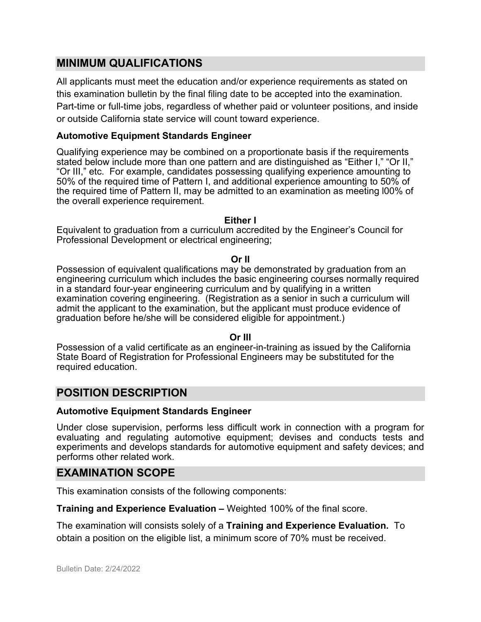#### **MINIMUM QUALIFICATIONS**

All applicants must meet the education and/or experience requirements as stated on this examination bulletin by the final filing date to be accepted into the examination. Part-time or full-time jobs, regardless of whether paid or volunteer positions, and inside or outside California state service will count toward experience.

#### **Automotive Equipment Standards Engineer**

Qualifying experience may be combined on a proportionate basis if the requirements stated below include more than one pattern and are distinguished as "Either I," "Or II," "Or III," etc. For example, candidates possessing qualifying experience amounting to 50% of the required time of Pattern I, and additional experience amounting to 50% of the required time of Pattern II, may be admitted to an examination as meeting l00% of the overall experience requirement.

#### **Either I**

Equivalent to graduation from a curriculum accredited by the Engineer's Council for Professional Development or electrical engineering;

#### **Or II**

Possession of equivalent qualifications may be demonstrated by graduation from an engineering curriculum which includes the basic engineering courses normally required in a standard four-year engineering curriculum and by qualifying in a written examination covering engineering. (Registration as a senior in such a curriculum will admit the applicant to the examination, but the applicant must produce evidence of graduation before he/she will be considered eligible for appointment.)

#### **Or III**

Possession of a valid certificate as an engineer-in-training as issued by the California State Board of Registration for Professional Engineers may be substituted for the required education.

#### **POSITION DESCRIPTION**

#### **Automotive Equipment Standards Engineer**

Under close supervision, performs less difficult work in connection with a program for evaluating and regulating automotive equipment; devises and conducts tests and experiments and develops standards for automotive equipment and safety devices; and performs other related work.

#### **EXAMINATION SCOPE**

This examination consists of the following components:

**Training and Experience Evaluation –** Weighted 100% of the final score.

The examination will consists solely of a **Training and Experience Evaluation.** To obtain a position on the eligible list, a minimum score of 70% must be received.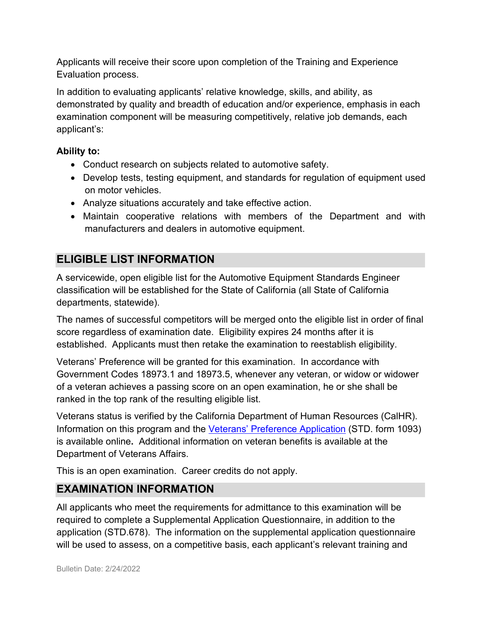Applicants will receive their score upon completion of the Training and Experience Evaluation process.

In addition to evaluating applicants' relative knowledge, skills, and ability, as demonstrated by quality and breadth of education and/or experience, emphasis in each examination component will be measuring competitively, relative job demands, each applicant's:

### **Ability to:**

- Conduct research on subjects related to automotive safety.
- Develop tests, testing equipment, and standards for regulation of equipment used on motor vehicles.
- Analyze situations accurately and take effective action.
- Maintain cooperative relations with members of the Department and with manufacturers and dealers in automotive equipment.

# **ELIGIBLE LIST INFORMATION**

A servicewide, open eligible list for the Automotive Equipment Standards Engineer classification will be established for the State of California (all State of California departments, statewide).

The names of successful competitors will be merged onto the eligible list in order of final score regardless of examination date. Eligibility expires 24 months after it is established. Applicants must then retake the examination to reestablish eligibility.

Veterans' Preference will be granted for this examination. In accordance with Government Codes 18973.1 and 18973.5, whenever any veteran, or widow or widower of a veteran achieves a passing score on an open examination, he or she shall be ranked in the top rank of the resulting eligible list.

Veterans status is verified by the California Department of Human Resources (CalHR). Information on this program and the [Veterans' Preference Application](https://www.jobs.ca.gov/CalHRPublic/Landing/Jobs/VeteransInformation.aspx) (STD. form 1093) is available online**.** Additional information on veteran benefits is available at the Department of Veterans Affairs.

This is an open examination. Career credits do not apply.

# **EXAMINATION INFORMATION**

All applicants who meet the requirements for admittance to this examination will be required to complete a Supplemental Application Questionnaire, in addition to the application (STD.678). The information on the supplemental application questionnaire will be used to assess, on a competitive basis, each applicant's relevant training and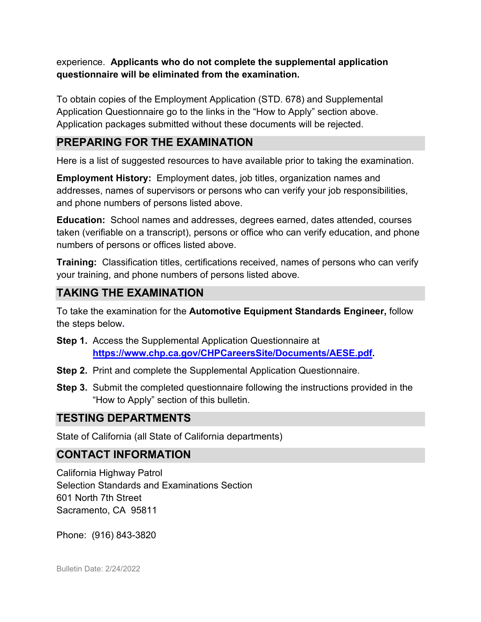experience. **Applicants who do not complete the supplemental application questionnaire will be eliminated from the examination.** 

To obtain copies of the Employment Application (STD. 678) and Supplemental Application Questionnaire go to the links in the "How to Apply" section above. Application packages submitted without these documents will be rejected.

# **PREPARING FOR THE EXAMINATION**

Here is a list of suggested resources to have available prior to taking the examination.

**Employment History:** Employment dates, job titles, organization names and addresses, names of supervisors or persons who can verify your job responsibilities, and phone numbers of persons listed above.

**Education:** School names and addresses, degrees earned, dates attended, courses taken (verifiable on a transcript), persons or office who can verify education, and phone numbers of persons or offices listed above.

**Training:** Classification titles, certifications received, names of persons who can verify your training, and phone numbers of persons listed above.

# **TAKING THE EXAMINATION**

To take the examination for the **Automotive Equipment Standards Engineer,** follow the steps below**.**

- **Step 1.** Access the Supplemental Application Questionnaire at **[https://www.chp.ca.gov/CHPCareersSite/Documents/AESE.pdf.](https://www.chp.ca.gov/CHPCareersSite/Documents/AESE.pdf)**
- **Step 2.** Print and complete the Supplemental Application Questionnaire.
- **Step 3.** Submit the completed questionnaire following the instructions provided in the "How to Apply" section of this bulletin.

# **TESTING DEPARTMENTS**

State of California (all State of California departments)

# **CONTACT INFORMATION**

California Highway Patrol Selection Standards and Examinations Section 601 North 7th Street Sacramento, CA 95811

Phone: (916) 843-3820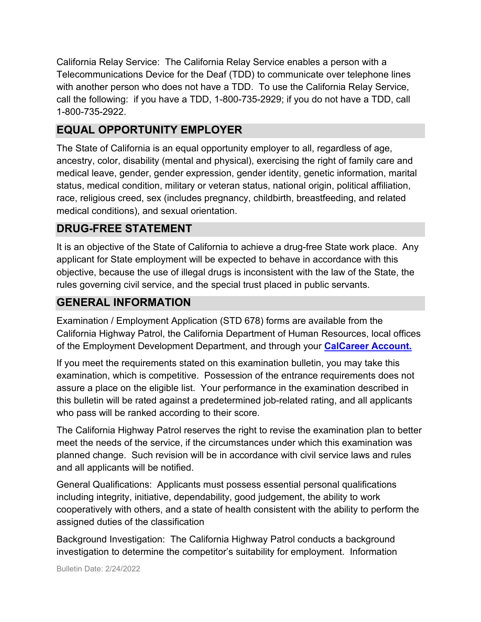California Relay Service: The California Relay Service enables a person with a Telecommunications Device for the Deaf (TDD) to communicate over telephone lines with another person who does not have a TDD. To use the California Relay Service, call the following: if you have a TDD, 1-800-735-2929; if you do not have a TDD, call 1-800-735-2922.

# **EQUAL OPPORTUNITY EMPLOYER**

The State of California is an equal opportunity employer to all, regardless of age, ancestry, color, disability (mental and physical), exercising the right of family care and medical leave, gender, gender expression, gender identity, genetic information, marital status, medical condition, military or veteran status, national origin, political affiliation, race, religious creed, sex (includes pregnancy, childbirth, breastfeeding, and related medical conditions), and sexual orientation.

# **DRUG-FREE STATEMENT**

It is an objective of the State of California to achieve a drug-free State work place. Any applicant for State employment will be expected to behave in accordance with this objective, because the use of illegal drugs is inconsistent with the law of the State, the rules governing civil service, and the special trust placed in public servants.

# **GENERAL INFORMATION**

Examination / Employment Application (STD 678) forms are available from the California Highway Patrol, the California Department of Human Resources, local offices of the Employment Development Department, and through your **[CalCareer Account.](http://www.jobs.ca.gov/)**

If you meet the requirements stated on this examination bulletin, you may take this examination, which is competitive. Possession of the entrance requirements does not assure a place on the eligible list. Your performance in the examination described in this bulletin will be rated against a predetermined job-related rating, and all applicants who pass will be ranked according to their score.

The California Highway Patrol reserves the right to revise the examination plan to better meet the needs of the service, if the circumstances under which this examination was planned change. Such revision will be in accordance with civil service laws and rules and all applicants will be notified.

General Qualifications: Applicants must possess essential personal qualifications including integrity, initiative, dependability, good judgement, the ability to work cooperatively with others, and a state of health consistent with the ability to perform the assigned duties of the classification

Background Investigation: The California Highway Patrol conducts a background investigation to determine the competitor's suitability for employment. Information